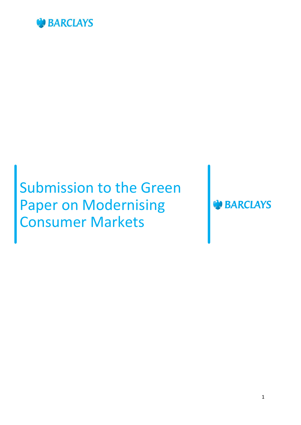

# Submission to the Green Paper on Modernising Consumer Markets

**BARCLAYS**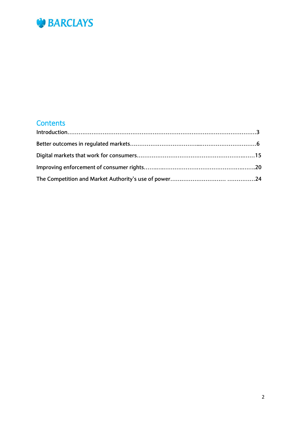

## **Contents**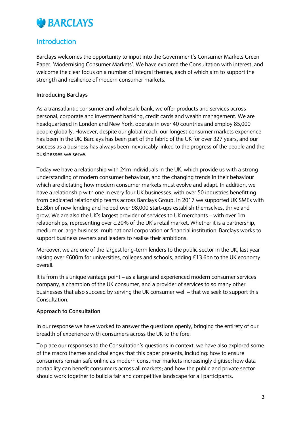

### **Introduction**

Barclays welcomes the opportunity to input into the Government's Consumer Markets Green Paper, 'Modernising Consumer Markets'. We have explored the Consultation with interest, and welcome the clear focus on a number of integral themes, each of which aim to support the strength and resilience of modern consumer markets.

#### **Introducing Barclays**

As a transatlantic consumer and wholesale bank, we offer products and services across personal, corporate and investment banking, credit cards and wealth management. We are headquartered in London and New York, operate in over 40 countries and employ 85,000 people globally. However, despite our global reach, our longest consumer markets experience has been in the UK. Barclays has been part of the fabric of the UK for over 327 years, and our success as a business has always been inextricably linked to the progress of the people and the businesses we serve.

Today we have a relationship with 24m individuals in the UK, which provide us with a strong understanding of modern consumer behaviour, and the changing trends in their behaviour which are dictating how modern consumer markets must evolve and adapt. In addition, we have a relationship with one in every four UK businesses, with over 50 industries benefitting from dedicated relationship teams across Barclays Group. In 2017 we supported UK SMEs with £2.8bn of new lending and helped over 98,000 start-ups establish themselves, thrive and grow. We are also the UK's largest provider of services to UK merchants – with over 1m relationships, representing over c.20% of the UK's retail market. Whether it is a partnership, medium or large business, multinational corporation or financial institution, Barclays works to support business owners and leaders to realise their ambitions.

Moreover, we are one of the largest long-term lenders to the public sector in the UK, last year raising over £600m for universities, colleges and schools, adding £13.6bn to the UK economy overall.

It is from this unique vantage point – as a large and experienced modern consumer services company, a champion of the UK consumer, and a provider of services to so many other businesses that also succeed by serving the UK consumer well – that we seek to support this Consultation.

#### **Approach to Consultation**

In our response we have worked to answer the questions openly, bringing the entirety of our breadth of experience with consumers across the UK to the fore.

To place our responses to the Consultation's questions in context, we have also explored some of the macro themes and challenges that this paper presents, including: how to ensure consumers remain safe online as modern consumer markets increasingly digitise; how data portability can benefit consumers across all markets; and how the public and private sector should work together to build a fair and competitive landscape for all participants.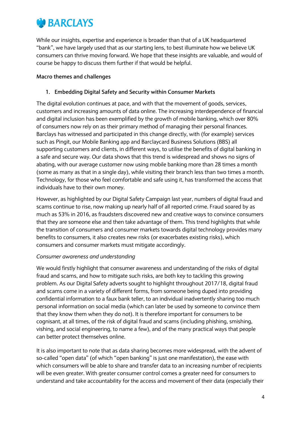

While our insights, expertise and experience is broader than that of a UK headquartered "bank", we have largely used that as our starting lens, to best illuminate how we believe UK consumers can thrive moving forward. We hope that these insights are valuable, and would of course be happy to discuss them further if that would be helpful.

#### **Macro themes and challenges**

#### **1. Embedding Digital Safety and Security within Consumer Markets**

The digital evolution continues at pace, and with that the movement of goods, services, customers and increasing amounts of data online. The increasing interdependence of financial and digital inclusion has been exemplified by the growth of mobile banking, which over 80% of consumers now rely on as their primary method of managing their personal finances. Barclays has witnessed and participated in this change directly, with (for example) services such as Pingit, our Mobile Banking app and Barclaycard Business Solutions (BBS) all supporting customers and clients, in different ways, to utilise the benefits of digital banking in a safe and secure way. Our data shows that this trend is widespread and shows no signs of abating, with our average customer now using mobile banking more than 28 times a month (some as many as that in a single day), while visiting their branch less than two times a month. Technology, for those who feel comfortable and safe using it, has transformed the access that individuals have to their own money.

However, as highlighted by our Digital Safety Campaign last year, numbers of digital fraud and scams continue to rise, now making up nearly half of all reported crime. Fraud soared by as much as 53% in 2016, as fraudsters discovered new and creative ways to convince consumers that they are someone else and then take advantage of them. This trend highlights that while the transition of consumers and consumer markets towards digital technology provides many benefits to consumers, it also creates new risks (or exacerbates existing risks), which consumers and consumer markets must mitigate accordingly.

#### *Consumer awareness and understanding*

We would firstly highlight that consumer awareness and understanding of the risks of digital fraud and scams, and how to mitigate such risks, are both key to tackling this growing problem. As our Digital Safety adverts sought to highlight throughout 2017/18, digital fraud and scams come in a variety of different forms, from someone being duped into providing confidential information to a faux bank teller, to an individual inadvertently sharing too much personal information on social media (which can later be used by someone to convince them that they know them when they do not). It is therefore important for consumers to be cognisant, at all times, of the risk of digital fraud and scams (including phishing, smishing, vishing, and social engineering, to name a few), and of the many practical ways that people can better protect themselves online.

It is also important to note that as data sharing becomes more widespread, with the advent of so-called "open data" (of which "open banking" is just one manifestation), the ease with which consumers will be able to share and transfer data to an increasing number of recipients will be even greater. With greater consumer control comes a greater need for consumers to understand and take accountability for the access and movement of their data (especially their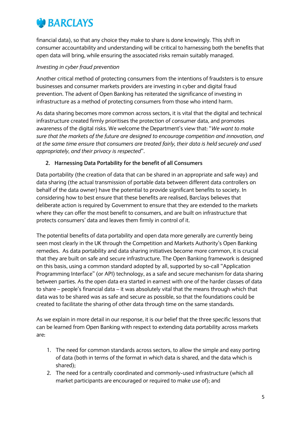## *<b>D* BARCLAYS

financial data), so that any choice they make to share is done knowingly. This shift in consumer accountability and understanding will be critical to harnessing both the benefits that open data will bring, while ensuring the associated risks remain suitably managed.

#### *Investing in cyber fraud prevention*

Another critical method of protecting consumers from the intentions of fraudsters is to ensure businesses and consumer markets providers are investing in cyber and digital fraud prevention. The advent of Open Banking has reiterated the significance of investing in infrastructure as a method of protecting consumers from those who intend harm.

As data sharing becomes more common across sectors, it is vital that the digital and technical infrastructure created firmly prioritises the protection of consumer data, and promotes awareness of the digital risks. We welcome the Department's view that: "*We want to make sure that the markets of the future are designed to encourage competition and innovation, and at the same time ensure that consumers are treated fairly, their data is held securely and used appropriately, and their privacy is respected*".

#### **2. Harnessing Data Portability for the benefit of all Consumers**

Data portability (the creation of data that can be shared in an appropriate and safe way) and data sharing (the actual transmission of portable data between different data controllers on behalf of the data owner) have the potential to provide significant benefits to society. In considering how to best ensure that these benefits are realised, Barclays believes that deliberate action is required by Government to ensure that they are extended to the markets where they can offer the most benefit to consumers, and are built on infrastructure that protects consumers' data and leaves them firmly in control of it.

The potential benefits of data portability and open data more generally are currently being seen most clearly in the UK through the Competition and Markets Authority's Open Banking remedies. As data portability and data sharing initiatives become more common, it is crucial that they are built on safe and secure infrastructure. The Open Banking framework is designed on this basis, using a common standard adopted by all, supported by so-call "Application Programming Interface" (or API) technology, as a safe and secure mechanism for data sharing between parties. As the open data era started in earnest with one of the harder classes of data to share – people's financial data – it was absolutely vital that the means through which that data was to be shared was as safe and secure as possible, so that the foundations could be created to facilitate the sharing of other data through time on the same standards.

As we explain in more detail in our response, it is our belief that the three specific lessons that can be learned from Open Banking with respect to extending data portability across markets are:

- 1. The need for common standards across sectors, to allow the simple and easy porting of data (both in terms of the format in which data is shared, and the data which is shared);
- 2. The need for a centrally coordinated and commonly-used infrastructure (which all market participants are encouraged or required to make use of); and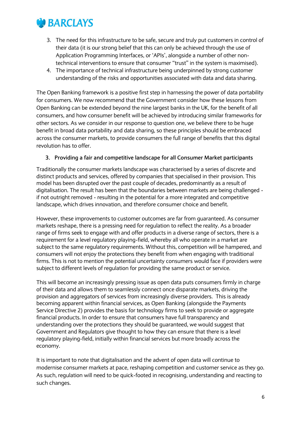

- 3. The need for this infrastructure to be safe, secure and truly put customers in control of their data (it is our strong belief that this can only be achieved through the use of Application Programming Interfaces, or 'APIs', alongside a number of other nontechnical interventions to ensure that consumer "trust" in the system is maximised).
- 4. The importance of technical infrastructure being underpinned by strong customer understanding of the risks and opportunities associated with data and data sharing.

The Open Banking framework is a positive first step in harnessing the power of data portability for consumers. We now recommend that the Government consider how these lessons from Open Banking can be extended beyond the nine largest banks in the UK, for the benefit of all consumers, and how consumer benefit will be achieved by introducing similar frameworks for other sectors. As we consider in our response to question one, we believe there to be huge benefit in broad data portability and data sharing, so these principles should be embraced across the consumer markets, to provide consumers the full range of benefits that this digital revolution has to offer.

#### **3. Providing a fair and competitive landscape for all Consumer Market participants**

Traditionally the consumer markets landscape was characterised by a series of discrete and distinct products and services, offered by companies that specialised in their provision. This model has been disrupted over the past couple of decades, predominantly as a result of digitalisation. The result has been that the boundaries between markets are being challenged if not outright removed - resulting in the potential for a more integrated and competitive landscape, which drives innovation, and therefore consumer choice and benefit.

However, these improvements to customer outcomes are far from guaranteed. As consumer markets reshape, there is a pressing need for regulation to reflect the reality. As a broader range of firms seek to engage with and offer products in a diverse range of sectors, there is a requirement for a level regulatory playing-field, whereby all who operate in a market are subject to the same regulatory requirements. Without this, competition will be hampered, and consumers will not enjoy the protections they benefit from when engaging with traditional firms. This is not to mention the potential uncertainty consumers would face if providers were subject to different levels of regulation for providing the same product or service.

This will become an increasingly pressing issue as open data puts consumers firmly in charge of their data and allows them to seamlessly connect once disparate markets, driving the provision and aggregators of services from increasingly diverse providers. This is already becoming apparent within financial services, as Open Banking (alongside the Payments Service Directive 2) provides the basis for technology firms to seek to provide or aggregate financial products. In order to ensure that consumers have full transparency and understanding over the protections they should be guaranteed, we would suggest that Government and Regulators give thought to how they can ensure that there is a level regulatory playing-field, initially within financial services but more broadly across the economy.

It is important to note that digitalisation and the advent of open data will continue to modernise consumer markets at pace, reshaping competition and customer service as they go. As such, regulation will need to be quick-footed in recognising, understanding and reacting to such changes.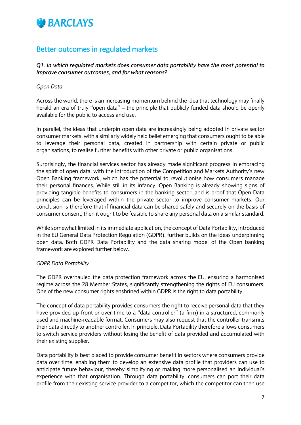

## Better outcomes in regulated markets

*Q1. In which regulated markets does consumer data portability have the most potential to improve consumer outcomes, and for what reasons?*

#### *Open Data*

Across the world, there is an increasing momentum behind the idea that technology may finally herald an era of truly "open data" – the principle that publicly funded data should be openly available for the public to access and use.

In parallel, the ideas that underpin open data are increasingly being adopted in private sector consumer markets, with a similarly widely held belief emerging that consumers ought to be able to leverage their personal data, created in partnership with certain private or public organisations, to realise further benefits with other private or public organisations.

Surprisingly, the financial services sector has already made significant progress in embracing the spirit of open data, with the introduction of the Competition and Markets Authority's new Open Banking framework, which has the potential to revolutionise how consumers manage their personal finances. While still in its infancy, Open Banking is already showing signs of providing tangible benefits to consumers in the banking sector, and is proof that Open Data principles can be leveraged within the private sector to improve consumer markets. Our conclusion is therefore that if financial data can be shared safely and securely on the basis of consumer consent, then it ought to be feasible to share any personal data on a similar standard.

While somewhat limited in its immediate application, the concept of Data Portability, introduced in the EU General Data Protection Regulation (GDPR), further builds on the ideas underpinning open data. Both GDPR Data Portability and the data sharing model of the Open banking framework are explored further below.

#### *GDPR Data Portability*

The GDPR overhauled the data protection framework across the EU, ensuring a harmonised regime across the 28 Member States, significantly strengthening the rights of EU consumers. One of the new consumer rights enshrined within GDPR is the right to data portability.

The concept of data portability provides consumers the right to receive personal data that they have provided up-front or over time to a "data controller" (a firm) in a structured, commonly used and machine-readable format. Consumers may also request that the controller transmits their data directly to another controller. In principle, Data Portability therefore allows consumers to switch service providers without losing the benefit of data provided and accumulated with their existing supplier.

Data portability is best placed to provide consumer benefit in sectors where consumers provide data over time, enabling them to develop an extensive data profile that providers can use to anticipate future behaviour, thereby simplifying or making more personalised an individual's experience with that organisation. Through data portability, consumers can port their data profile from their existing service provider to a competitor, which the competitor can then use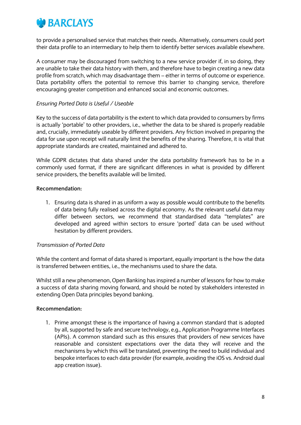

to provide a personalised service that matches their needs. Alternatively, consumers could port their data profile to an intermediary to help them to identify better services available elsewhere.

A consumer may be discouraged from switching to a new service provider if, in so doing, they are unable to take their data history with them, and therefore have to begin creating a new data profile from scratch, which may disadvantage them – either in terms of outcome or experience. Data portability offers the potential to remove this barrier to changing service, therefore encouraging greater competition and enhanced social and economic outcomes.

#### *Ensuring Ported Data is Useful / Useable*

Key to the success of data portability is the extent to which data provided to consumers by firms is actually 'portable' to other providers, i.e., whether the data to be shared is properly readable and, crucially, immediately useable by different providers. Any friction involved in preparing the data for use upon receipt will naturally limit the benefits of the sharing. Therefore, it is vital that appropriate standards are created, maintained and adhered to.

While GDPR dictates that data shared under the data portability framework has to be in a commonly used format, if there are significant differences in what is provided by different service providers, the benefits available will be limited.

#### **Recommendation:**

1. Ensuring data is shared in as uniform a way as possible would contribute to the benefits of data being fully realised across the digital economy. As the relevant useful data may differ between sectors, we recommend that standardised data "templates" are developed and agreed within sectors to ensure 'ported' data can be used without hesitation by different providers.

#### *Transmission of Ported Data*

While the content and format of data shared is important, equally important is the how the data is transferred between entities, i.e., the mechanisms used to share the data.

Whilst still a new phenomenon, Open Banking has inspired a number of lessons for how to make a success of data sharing moving forward, and should be noted by stakeholders interested in extending Open Data principles beyond banking.

#### **Recommendation:**

1. Prime amongst these is the importance of having a common standard that is adopted by all, supported by safe and secure technology, e.g., Application Programme Interfaces (APIs). A common standard such as this ensures that providers of new services have reasonable and consistent expectations over the data they will receive and the mechanisms by which this will be translated, preventing the need to build individual and bespoke interfaces to each data provider (for example, avoiding the iOS vs. Android dual app creation issue).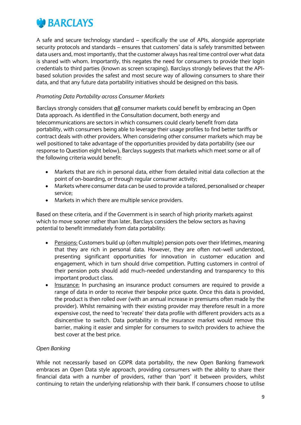

A safe and secure technology standard – specifically the use of APIs, alongside appropriate security protocols and standards – ensures that customers' data is safely transmitted between data users and, most importantly, that the customer always has real time control over what data is shared with whom. Importantly, this negates the need for consumers to provide their login credentials to third parties (known as screen scraping). Barclays strongly believes that the APIbased solution provides the safest and most secure way of allowing consumers to share their data, and that any future data portability initiatives should be designed on this basis.

#### *Promoting Data Portability across Consumer Markets*

Barclays strongly considers that *all* consumer markets could benefit by embracing an Open Data approach. As identified in the Consultation document, both energy and telecommunications are sectors in which consumers could clearly benefit from data portability, with consumers being able to leverage their usage profiles to find better tariffs or contract deals with other providers. When considering other consumer markets which may be well positioned to take advantage of the opportunities provided by data portability (see our response to Question eight below), Barclays suggests that markets which meet some or all of the following criteria would benefit:

- Markets that are rich in personal data, either from detailed initial data collection at the point of on-boarding, or through regular consumer activity;
- Markets where consumer data can be used to provide a tailored, personalised or cheaper service;
- Markets in which there are multiple service providers.

Based on these criteria, and if the Government is in search of high priority markets against which to move sooner rather than later, Barclays considers the below sectors as having potential to benefit immediately from data portability:

- Pensions: Customers build up (often multiple) pension pots over their lifetimes, meaning that they are rich in personal data. However, they are often not-well understood, presenting significant opportunities for innovation in customer education and engagement, which in turn should drive competition. Putting customers in control of their pension pots should add much-needed understanding and transparency to this important product class.
- Insurance: In purchasing an insurance product consumers are required to provide a range of data in order to receive their bespoke price quote. Once this data is provided, the product is then rolled over (with an annual increase in premiums often made by the provider). Whilst remaining with their existing provider may therefore result in a more expensive cost, the need to 'recreate' their data profile with different providers acts as a disincentive to switch. Data portability in the insurance market would remove this barrier, making it easier and simpler for consumers to switch providers to achieve the best cover at the best price.

#### *Open Banking*

While not necessarily based on GDPR data portability, the new Open Banking framework embraces an Open Data style approach, providing consumers with the ability to share their financial data with a number of providers, rather than 'port' it between providers, whilst continuing to retain the underlying relationship with their bank. If consumers choose to utilise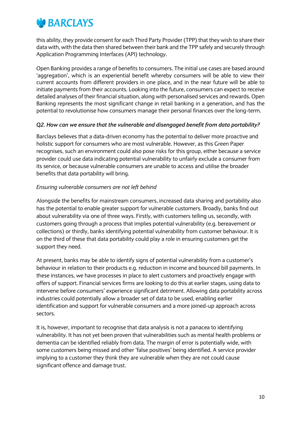

this ability, they provide consent for each Third Party Provider (TPP) that they wish to share their data with, with the data then shared between their bank and the TPP safely and securely through Application Programming Interfaces (API) technology.

Open Banking provides a range of benefits to consumers. The initial use cases are based around 'aggregation', which is an experiential benefit whereby consumers will be able to view their current accounts from different providers in one place, and in the near future will be able to initiate payments from their accounts. Looking into the future, consumers can expect to receive detailed analyses of their financial situation, along with personalised services and rewards. Open Banking represents the most significant change in retail banking in a generation, and has the potential to revolutionise how consumers manage their personal finances over the long-term.

#### *Q2. How can we ensure that the vulnerable and disengaged benefit from data portability?*

Barclays believes that a data-driven economy has the potential to deliver more proactive and holistic support for consumers who are most vulnerable. However, as this Green Paper recognises, such an environment could also pose risks for this group, either because a service provider could use data indicating potential vulnerability to unfairly exclude a consumer from its service, or because vulnerable consumers are unable to access and utilise the broader benefits that data portability will bring.

#### *Ensuring vulnerable consumers are not left behind*

Alongside the benefits for mainstream consumers, increased data sharing and portability also has the potential to enable greater support for vulnerable customers. Broadly, banks find out about vulnerability via one of three ways. Firstly, with customers telling us, secondly, with customers going through a process that implies potential vulnerability (e.g. bereavement or collections) or thirdly, banks identifying potential vulnerability from customer behaviour. It is on the third of these that data portability could play a role in ensuring customers get the support they need.

At present, banks may be able to identify signs of potential vulnerability from a customer's behaviour in relation to their products e.g. reduction in income and bounced bill payments. In these instances, we have processes in place to alert customers and proactively engage with offers of support. Financial services firms are looking to do this at earlier stages, using data to intervene before consumers' experience significant detriment. Allowing data portability across industries could potentially allow a broader set of data to be used, enabling earlier identification and support for vulnerable consumers and a more joined-up approach across sectors.

It is, however, important to recognise that data analysis is not a panacea to identifying vulnerability. It has not yet been proven that vulnerabilities such as mental health problems or dementia can be identified reliably from data. The margin of error is potentially wide, with some customers being missed and other 'false positives' being identified. A service provider implying to a customer they think they are vulnerable when they are not could cause significant offence and damage trust.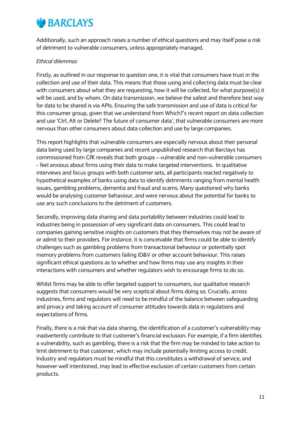## **BARCLAYS**

Additionally, such an approach raises a number of ethical questions and may itself pose a risk of detriment to vulnerable consumers, unless appropriately managed.

#### *Ethical dilemmas*

Firstly, as outlined in our response to question one, it is vital that consumers have trust in the collection and use of their data. This means that those using and collecting data must be clear with consumers about what they are requesting, how it will be collected, for what purpose(s) it will be used, and by whom. On data transmission, we believe the safest and therefore best way for data to be shared is via APIs. Ensuring the safe transmission and use of data is critical for this consumer group, given that we understand from Which?'s recent report on data collection and use 'Ctrl, Alt or Delete? The future of consumer data', that vulnerable consumers are more nervous than other consumers about data collection and use by large companies.

This report highlights that vulnerable consumers are especially nervous about their personal data being used by large companies and recent unpublished research that Barclays has commissioned from GfK reveals that both groups – vulnerable and non-vulnerable consumers - feel anxious about firms using their data to make targeted interventions. In qualitative interviews and focus groups with both customer sets, all participants reacted negatively to hypothetical examples of banks using data to identify detriments ranging from mental health issues, gambling problems, dementia and fraud and scams. Many questioned why banks would be analysing customer behaviour, and were nervous about the potential for banks to use any such conclusions to the detriment of customers.

Secondly, improving data sharing and data portability between industries could lead to industries being in possession of very significant data on consumers. This could lead to companies gaining sensitive insights on customers that they themselves may not be aware of or admit to their providers. For instance, it is conceivable that firms could be able to identify challenges such as gambling problems from transactional behaviour or potentially spot memory problems from customers failing ID&V or other account behaviour. This raises significant ethical questions as to whether and how firms may use any insights in their interactions with consumers and whether regulators wish to encourage firms to do so.

Whilst firms may be able to offer targeted support to consumers, our qualitative research suggests that consumers would be very sceptical about firms doing so. Crucially, across industries, firms and regulators will need to be mindful of the balance between safeguarding and privacy and taking account of consumer attitudes towards data in regulations and expectations of firms.

Finally, there is a risk that via data sharing, the identification of a customer's vulnerability may inadvertently contribute to that customer's financial exclusion. For example, if a firm identifies a vulnerability, such as gambling, there is a risk that the firm may be minded to take action to limit detriment to that customer, which may include potentially limiting access to credit. Industry and regulators must be mindful that this constitutes a withdrawal of service, and however well intentioned, may lead to effective exclusion of certain customers from certain products.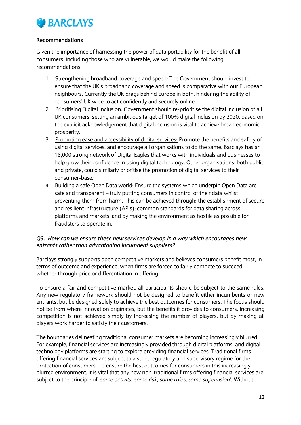

#### **Recommendations**

Given the importance of harnessing the power of data portability for the benefit of all consumers, including those who are vulnerable, we would make the following recommendations:

- 1. Strengthening broadband coverage and speed: The Government should invest to ensure that the UK's broadband coverage and speed is comparative with our European neighbours. Currently the UK drags behind Europe in both, hindering the ability of consumers' UK wide to act confidently and securely online.
- 2. Prioritising Digital Inclusion: Government should re-prioritise the digital inclusion of all UK consumers, setting an ambitious target of 100% digital inclusion by 2020, based on the explicit acknowledgement that digital inclusion is vital to achieve broad economic prosperity.
- 3. Promoting ease and accessibility of digital services: Promote the benefits and safety of using digital services, and encourage all organisations to do the same. Barclays has an 18,000 strong network of Digital Eagles that works with individuals and businesses to help grow their confidence in using digital technology. Other organisations, both public and private, could similarly prioritise the promotion of digital services to their consumer-base.
- 4. Building a safe Open Data world: Ensure the systems which underpin Open Data are safe and transparent – truly putting consumers in control of their data whilst preventing them from harm. This can be achieved through: the establishment of secure and resilient infrastructure (APIs); common standards for data sharing across platforms and markets; and by making the environment as hostile as possible for fraudsters to operate in.

#### *Q3. How can we ensure these new services develop in a way which encourages new entrants rather than advantaging incumbent suppliers?*

Barclays strongly supports open competitive markets and believes consumers benefit most, in terms of outcome and experience, when firms are forced to fairly compete to succeed, whether through price or differentiation in offering.

To ensure a fair and competitive market, all participants should be subject to the same rules. Any new regulatory framework should not be designed to benefit either incumbents or new entrants, but be designed solely to achieve the best outcomes for consumers. The focus should not be from where innovation originates, but the benefits it provides to consumers. Increasing competition is not achieved simply by increasing the number of players, but by making all players work harder to satisfy their customers.

The boundaries delineating traditional consumer markets are becoming increasingly blurred. For example, financial services are increasingly provided through digital platforms, and digital technology platforms are starting to explore providing financial services. Traditional firms offering financial services are subject to a strict regulatory and supervisory regime for the protection of consumers. To ensure the best outcomes for consumers in this increasingly blurred environment, it is vital that any new non-traditional firms offering financial services are subject to the principle of *'same activity, same risk, same rules, same supervision'*. Without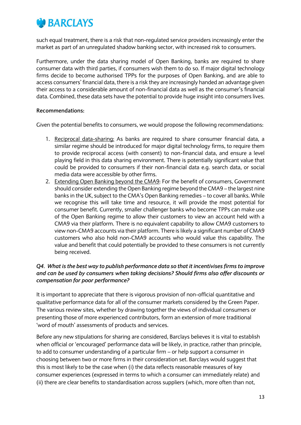

such equal treatment, there is a risk that non-regulated service providers increasingly enter the market as part of an unregulated shadow banking sector, with increased risk to consumers.

Furthermore, under the data sharing model of Open Banking, banks are required to share consumer data with third parties, if consumers wish them to do so. If major digital technology firms decide to become authorised TPPs for the purposes of Open Banking, and are able to access consumers' financial data, there is a risk they are increasingly handed an advantage given their access to a considerable amount of non-financial data as well as the consumer's financial data. Combined, these data sets have the potential to provide huge insight into consumers lives.

#### **Recommendations:**

Given the potential benefits to consumers, we would propose the following recommendations:

- 1. Reciprocal data-sharing: As banks are required to share consumer financial data, a similar regime should be introduced for major digital technology firms, to require them to provide reciprocal access (with consent) to non-financial data, and ensure a level playing field in this data sharing environment. There is potentially significant value that could be provided to consumers if their non-financial data e.g. search data, or social media data were accessible by other firms.
- 2. Extending Open Banking beyond the CMA9: For the benefit of consumers, Government should consider extending the Open Banking regime beyond the CMA9 – the largest nine banks in the UK, subject to the CMA's Open Banking remedies – to cover all banks. While we recognise this will take time and resource, it will provide the most potential for consumer benefit. Currently, smaller challenger banks who become TPPs can make use of the Open Banking regime to allow their customers to view an account held with a CMA9 via their platform. There is no equivalent capability to allow CMA9 customers to view non-CMA9 accounts via their platform. There is likely a significant number of CMA9 customers who also hold non-CMA9 accounts who would value this capability. The value and benefit that could potentially be provided to these consumers is not currently being received.

#### *Q4. What is the best way to publish performance data so that it incentivises firms to improve and can be used by consumers when taking decisions? Should firms also offer discounts or compensation for poor performance?*

It is important to appreciate that there is vigorous provision of non-official quantitative and qualitative performance data for all of the consumer markets considered by the Green Paper. The various review sites, whether by drawing together the views of individual consumers or presenting those of more experienced contributors, form an extension of more traditional 'word of mouth' assessments of products and services.

Before any new stipulations for sharing are considered, Barclays believes it is vital to establish when official or 'encouraged' performance data will be likely, in practice, rather than principle, to add to consumer understanding of a particular firm – or help support a consumer in choosing between two or more firms in their consideration set. Barclays would suggest that this is most likely to be the case when (i) the data reflects reasonable measures of key consumer experiences (expressed in terms to which a consumer can immediately relate) and (ii) there are clear benefits to standardisation across suppliers (which, more often than not,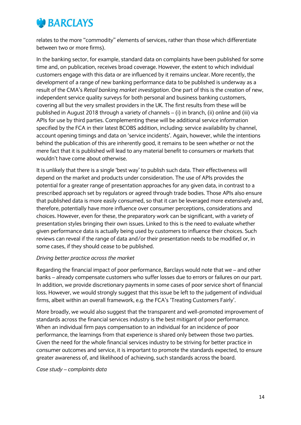

relates to the more "commodity" elements of services, rather than those which differentiate between two or more firms).

In the banking sector, for example, standard data on complaints have been published for some time and, on publication, receives broad coverage. However, the extent to which individual customers engage with this data or are influenced by it remains unclear. More recently, the development of a range of new banking performance data to be published is underway as a result of the CMA's *Retail banking market investigation*. One part of this is the creation of new, independent service quality surveys for both personal and business banking customers, covering all but the very smallest providers in the UK. The first results from these will be published in August 2018 through a variety of channels – (i) in branch, (ii) online and (iii) via APIs for use by third parties. Complementing these will be additional service information specified by the FCA in their latest BCOBS addition, including: service availability by channel, account opening timings and data on 'service incidents'. Again, however, while the intentions behind the publication of this are inherently good, it remains to be seen whether or not the mere fact that it is published will lead to any material benefit to consumers or markets that wouldn't have come about otherwise.

It is unlikely that there is a single 'best way' to publish such data. Their effectiveness will depend on the market and products under consideration. The use of APIs provides the potential for a greater range of presentation approaches for any given data, in contrast to a prescribed approach set by regulators or agreed through trade bodies. Those APIs also ensure that published data is more easily consumed, so that it can be leveraged more extensively and, therefore, potentially have more influence over consumer perceptions, considerations and choices. However, even for these, the preparatory work can be significant, with a variety of presentation styles bringing their own issues. Linked to this is the need to evaluate whether given performance data is actually being used by customers to influence their choices. Such reviews can reveal if the range of data and/or their presentation needs to be modified or, in some cases, if they should cease to be published.

#### *Driving better practice across the market*

Regarding the financial impact of poor performance, Barclays would note that we – and other banks – already compensate customers who suffer losses due to errors or failures on our part. In addition, we provide discretionary payments in some cases of poor service short of financial loss. However, we would strongly suggest that this issue be left to the judgement of individual firms, albeit within an overall framework, e.g. the FCA's 'Treating Customers Fairly'.

More broadly, we would also suggest that the transparent and well-promoted improvement of standards across the financial services industry is the best mitigant of poor performance. When an individual firm pays compensation to an individual for an incidence of poor performance, the learnings from that experience is shared only between those two parties. Given the need for the whole financial services industry to be striving for better practice in consumer outcomes and service, it is important to promote the standards expected, to ensure greater awareness of, and likelihood of achieving, such standards across the board.

*Case study – complaints data*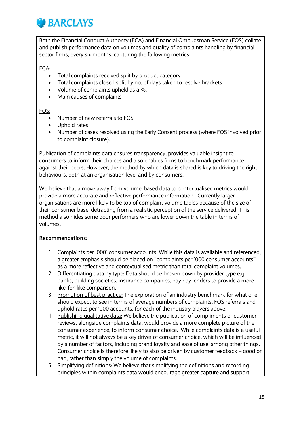

Both the Financial Conduct Authority (FCA) and Financial Ombudsman Service (FOS) collate and publish performance data on volumes and quality of complaints handling by financial sector firms, every six months, capturing the following metrics:

#### FCA:

- Total complaints received split by product category
- Total complaints closed split by no. of days taken to resolve brackets
- Volume of complaints upheld as a %.
- Main causes of complaints

#### FOS:

- Number of new referrals to FOS
- Uphold rates
- Number of cases resolved using the Early Consent process (where FOS involved prior to complaint closure).

Publication of complaints data ensures transparency, provides valuable insight to consumers to inform their choices and also enables firms to benchmark performance against their peers. However, the method by which data is shared is key to driving the right behaviours, both at an organisation level and by consumers.

We believe that a move away from volume-based data to contextualised metrics would provide a more accurate and reflective performance information. Currently larger organisations are more likely to be top of complaint volume tables because of the size of their consumer base, detracting from a realistic perception of the service delivered. This method also hides some poor performers who are lower down the table in terms of volumes.

#### **Recommendations:**

- 1. Complaints per '000' consumer accounts: While this data is available and referenced, a greater emphasis should be placed on "complaints per '000 consumer accounts" as a more reflective and contextualised metric than total complaint volumes.
- 2. Differentiating data by type: Data should be broken down by provider type e.g. banks, building societies, insurance companies, pay day lenders to provide a more like-for-like comparison.
- 3. Promotion of best practice: The exploration of an industry benchmark for what one should expect to see in terms of average numbers of complaints, FOS referrals and uphold rates per '000 accounts, for each of the industry players above.
- 4. Publishing qualitative data: We believe the publication of compliments or customer reviews, alongside complaints data, would provide a more complete picture of the consumer experience, to inform consumer choice. While complaints data is a useful metric, it will not always be a key driver of consumer choice, which will be influenced by a number of factors, including brand loyalty and ease of use, among other things. Consumer choice is therefore likely to also be driven by customer feedback – good or bad, rather than simply the volume of complaints.
- 5. Simplifying definitions: We believe that simplifying the definitions and recording principles within complaints data would encourage greater capture and support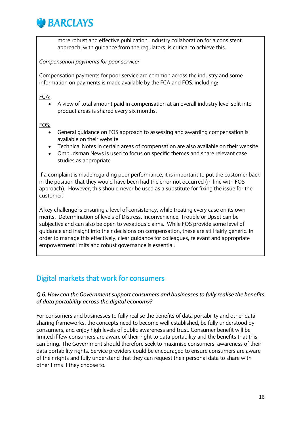

more robust and effective publication. Industry collaboration for a consistent approach, with guidance from the regulators, is critical to achieve this.

*Compensation payments for poor service:*

Compensation payments for poor service are common across the industry and some information on payments is made available by the FCA and FOS, including:

FCA:

 A view of total amount paid in compensation at an overall industry level split into product areas is shared every six months.

FOS:

- General guidance on FOS approach to assessing and awarding compensation is available on their website
- Technical Notes in certain areas of compensation are also available on their website
- Ombudsman News is used to focus on specific themes and share relevant case studies as appropriate

If a complaint is made regarding poor performance, it is important to put the customer back in the position that they would have been had the error not occurred (in line with FOS approach). However, this should never be used as a substitute for fixing the issue for the customer.

A key challenge is ensuring a level of consistency, while treating every case on its own merits. Determination of levels of Distress, Inconvenience, Trouble or Upset can be subjective and can also be open to vexatious claims. While FOS provide some level of guidance and insight into their decisions on compensation, these are still fairly generic. In order to manage this effectively, clear guidance for colleagues, relevant and appropriate empowerment limits and robust governance is essential.

### Digital markets that work for consumers

#### *Q.6. How can the Government support consumers and businesses to fully realise the benefits of data portability across the digital economy?*

For consumers and businesses to fully realise the benefits of data portability and other data sharing frameworks, the concepts need to become well established, be fully understood by consumers, and enjoy high levels of public awareness and trust. Consumer benefit will be limited if few consumers are aware of their right to data portability and the benefits that this can bring. The Government should therefore seek to maximise consumers' awareness of their data portability rights. Service providers could be encouraged to ensure consumers are aware of their rights and fully understand that they can request their personal data to share with other firms if they choose to.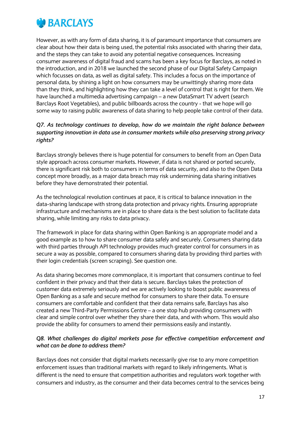

However, as with any form of data sharing, it is of paramount importance that consumers are clear about how their data is being used, the potential risks associated with sharing their data, and the steps they can take to avoid any potential negative consequences. Increasing consumer awareness of digital fraud and scams has been a key focus for Barclays, as noted in the introduction, and in 2018 we launched the second phase of our Digital Safety Campaign which focusses on data, as well as digital safety. This includes a focus on the importance of personal data, by shining a light on how consumers may be unwittingly sharing more data than they think, and highlighting how they can take a level of control that is right for them. We have launched a multimedia advertising campaign – a new DataSmart TV advert (search Barclays Root Vegetables), and public billboards across the country - that we hope will go some way to raising public awareness of data sharing to help people take control of their data.

#### *Q7. As technology continues to develop, how do we maintain the right balance between supporting innovation in data use in consumer markets while also preserving strong privacy rights?*

Barclays strongly believes there is huge potential for consumers to benefit from an Open Data style approach across consumer markets. However, if data is not shared or ported securely, there is significant risk both to consumers in terms of data security, and also to the Open Data concept more broadly, as a major data breach may risk undermining data sharing initiatives before they have demonstrated their potential.

As the technological revolution continues at pace, it is critical to balance innovation in the data-sharing landscape with strong data protection and privacy rights. Ensuring appropriate infrastructure and mechanisms are in place to share data is the best solution to facilitate data sharing, while limiting any risks to data privacy.

The framework in place for data sharing within Open Banking is an appropriate model and a good example as to how to share consumer data safely and securely. Consumers sharing data with third parties through API technology provides much greater control for consumers in as secure a way as possible, compared to consumers sharing data by providing third parties with their login credentials (screen scraping). See question one.

As data sharing becomes more commonplace, it is important that consumers continue to feel confident in their privacy and that their data is secure. Barclays takes the protection of customer data extremely seriously and we are actively looking to boost public awareness of Open Banking as a safe and secure method for consumers to share their data. To ensure consumers are comfortable and confident that their data remains safe, Barclays has also created a new Third-Party Permissions Centre – a one stop hub providing consumers with clear and simple control over whether they share their data, and with whom. This would also provide the ability for consumers to amend their permissions easily and instantly.

#### *Q8. What challenges do digital markets pose for effective competition enforcement and what can be done to address them?*

Barclays does not consider that digital markets necessarily give rise to any more competition enforcement issues than traditional markets with regard to likely infringements. What is different is the need to ensure that competition authorities and regulators work together with consumers and industry, as the consumer and their data becomes central to the services being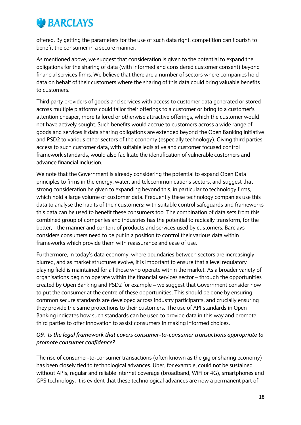## *<b>D* BARCLAYS

offered. By getting the parameters for the use of such data right, competition can flourish to benefit the consumer in a secure manner.

As mentioned above, we suggest that consideration is given to the potential to expand the obligations for the sharing of data (with informed and considered customer consent) beyond financial services firms. We believe that there are a number of sectors where companies hold data on behalf of their customers where the sharing of this data could bring valuable benefits to customers.

Third party providers of goods and services with access to customer data generated or stored across multiple platforms could tailor their offerings to a customer or bring to a customer's attention cheaper, more tailored or otherwise attractive offerings, which the customer would not have actively sought. Such benefits would accrue to customers across a wide range of goods and services if data sharing obligations are extended beyond the Open Banking initiative and PSD2 to various other sectors of the economy (especially technology). Giving third parties access to such customer data, with suitable legislative and customer focused control framework standards, would also facilitate the identification of vulnerable customers and advance financial inclusion.

We note that the Government is already considering the potential to expand Open Data principles to firms in the energy, water, and telecommunications sectors, and suggest that strong consideration be given to expanding beyond this, in particular to technology firms, which hold a large volume of customer data. Frequently these technology companies use this data to analyse the habits of their customers: with suitable control safeguards and frameworks this data can be used to benefit these consumers too. The combination of data sets from this combined group of companies and industries has the potential to radically transform, for the better, - the manner and content of products and services used by customers. Barclays considers consumers need to be put in a position to control their various data within frameworks which provide them with reassurance and ease of use.

Furthermore, in today's data economy, where boundaries between sectors are increasingly blurred, and as market structures evolve, it is important to ensure that a level regulatory playing field is maintained for all those who operate within the market. As a broader variety of organisations begin to operate within the financial services sector – through the opportunities created by Open Banking and PSD2 for example – we suggest that Government consider how to put the consumer at the centre of these opportunities. This should be done by ensuring common secure standards are developed across industry participants, and crucially ensuring they provide the same protections to their customers. The use of API standards in Open Banking indicates how such standards can be used to provide data in this way and promote third parties to offer innovation to assist consumers in making informed choices.

#### *Q9. Is the legal framework that covers consumer-to-consumer transactions appropriate to promote consumer confidence?*

The rise of consumer-to-consumer transactions (often known as the gig or sharing economy) has been closely tied to technological advances. Uber, for example, could not be sustained without APIs, regular and reliable internet coverage (broadband, WiFi or 4G), smartphones and GPS technology. It is evident that these technological advances are now a permanent part of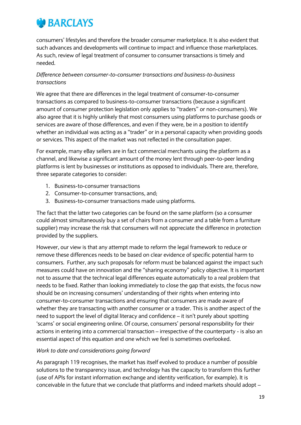

consumers' lifestyles and therefore the broader consumer marketplace. It is also evident that such advances and developments will continue to impact and influence those marketplaces. As such, review of legal treatment of consumer to consumer transactions is timely and needed.

#### *Difference between consumer-to-consumer transactions and business-to-business transactions*

We agree that there are differences in the legal treatment of consumer-to-consumer transactions as compared to business-to-consumer transactions (because a significant amount of consumer protection legislation only applies to "traders" or non-consumers). We also agree that it is highly unlikely that most consumers using platforms to purchase goods or services are aware of those differences, and even if they were, be in a position to identify whether an individual was acting as a "trader" or in a personal capacity when providing goods or services. This aspect of the market was not reflected in the consultation paper.

For example, many eBay sellers are in fact commercial merchants using the platform as a channel, and likewise a significant amount of the money lent through peer-to-peer lending platforms is lent by businesses or institutions as opposed to individuals. There are, therefore, three separate categories to consider:

- 1. Business-to-consumer transactions
- 2. Consumer-to-consumer transactions, and;
- 3. Business-to-consumer transactions made using platforms.

The fact that the latter two categories can be found on the same platform (so a consumer could almost simultaneously buy a set of chairs from a consumer and a table from a furniture supplier) may increase the risk that consumers will not appreciate the difference in protection provided by the suppliers.

However, our view is that any attempt made to reform the legal framework to reduce or remove these differences needs to be based on clear evidence of specific potential harm to consumers. Further, any such proposals for reform must be balanced against the impact such measures could have on innovation and the "sharing economy" policy objective. It is important not to assume that the technical legal differences equate automatically to a real problem that needs to be fixed. Rather than looking immediately to close the gap that exists, the focus now should be on increasing consumers' understanding of their rights when entering into consumer-to-consumer transactions and ensuring that consumers are made aware of whether they are transacting with another consumer or a trader. This is another aspect of the need to support the level of digital literacy and confidence – it isn't purely about spotting 'scams' or social engineering online. Of course, consumers' personal responsibility for their actions in entering into a commercial transaction – irrespective of the counterparty - is also an essential aspect of this equation and one which we feel is sometimes overlooked.

#### *Work to date and considerations going forward*

As paragraph 119 recognises, the market has itself evolved to produce a number of possible solutions to the transparency issue, and technology has the capacity to transform this further (use of APIs for instant information exchange and identity verification, for example). It is conceivable in the future that we conclude that platforms and indeed markets should adopt –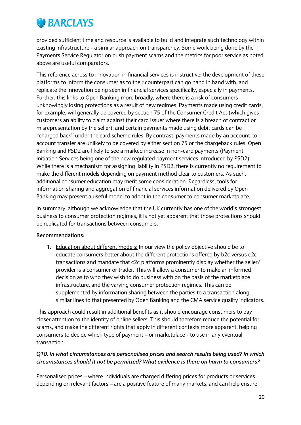

provided sufficient time and resource is available to build and integrate such technology within existing infrastructure - a similar approach on transparency. Some work being done by the Payments Service Regulator on push payment scams and the metrics for poor service as noted above are useful comparators.

This reference across to innovation in financial services is instructive: the development of these platforms to inform the consumer as to their counterpart can go hand in hand with, and replicate the innovation being seen in financial services specifically, especially in payments. Further, this links to Open Banking more broadly, where there is a risk of consumers unknowingly losing protections as a result of new regimes. Payments made using credit cards, for example, will generally be covered by section 75 of the Consumer Credit Act (which gives customers an ability to claim against their card issuer where there is a breach of contract or misrepresentation by the seller), and certain payments made using debit cards can be "charged back" under the card scheme rules. By contrast, payments made by an account-toaccount transfer are unlikely to be covered by either section 75 or the chargeback rules. Open Banking and PSD2 are likely to see a marked increase in non-card payments (Payment Initiation Services being one of the new regulated payment services introduced by PSD2). While there is a mechanism for assigning liability in PSD2, there is currently no requirement to make the different models depending on payment method clear to customers. As such, additional consumer education may merit some consideration. Regardless, tools for information sharing and aggregation of financial services information delivered by Open Banking may present a useful model to adopt in the consumer to consumer marketplace.

In summary, although we acknowledge that the UK currently has one of the world's strongest business to consumer protection regimes, it is not yet apparent that those protections should be replicated for transactions between consumers.

#### **Recommendations:**

1. Education about different models: In our view the policy objective should be to educate consumers better about the different protections offered by b2c versus c2c transactions and mandate that c2c platforms prominently display whether the seller/ provider is a consumer or trader. This will allow a consumer to make an informed decision as to who they wish to do business with on the basis of the marketplace infrastructure, and the varying consumer protection regimes. This can be supplemented by information sharing between the parties to a transaction along similar lines to that presented by Open Banking and the CMA service quality indicators.

This approach could result in additional benefits as it should encourage consumers to pay closer attention to the identity of online sellers. This should therefore reduce the potential for scams, and make the different rights that apply in different contexts more apparent, helping consumers to decide which type of payment – or marketplace - to use in any eventual transaction.

#### *Q10. In what circumstances are personalised prices and search results being used? In which circumstances should it not be permitted? What evidence is there on harm to consumers?*

Personalised prices – where individuals are charged differing prices for products or services depending on relevant factors – are a positive feature of many markets, and can help ensure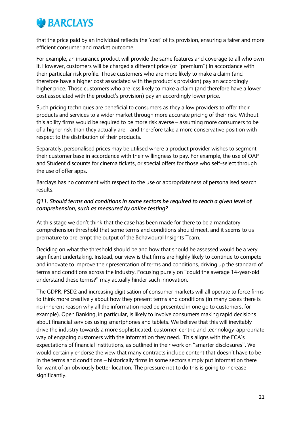

that the price paid by an individual reflects the 'cost' of its provision, ensuring a fairer and more efficient consumer and market outcome.

For example, an insurance product will provide the same features and coverage to all who own it. However, customers will be charged a different price (or "premium") in accordance with their particular risk profile. Those customers who are more likely to make a claim (and therefore have a higher cost associated with the product's provision) pay an accordingly higher price. Those customers who are less likely to make a claim (and therefore have a lower cost associated with the product's provision) pay an accordingly lower price.

Such pricing techniques are beneficial to consumers as they allow providers to offer their products and services to a wider market through more accurate pricing of their risk. Without this ability firms would be required to be more risk averse – assuming more consumers to be of a higher risk than they actually are - and therefore take a more conservative position with respect to the distribution of their products.

Separately, personalised prices may be utilised where a product provider wishes to segment their customer base in accordance with their willingness to pay. For example, the use of OAP and Student discounts for cinema tickets, or special offers for those who self-select through the use of offer apps.

Barclays has no comment with respect to the use or appropriateness of personalised search results.

#### *Q11. Should terms and conditions in some sectors be required to reach a given level of comprehension, such as measured by online testing?*

At this stage we don't think that the case has been made for there to be a mandatory comprehension threshold that some terms and conditions should meet, and it seems to us premature to pre-empt the output of the Behavioural Insights Team.

Deciding on what the threshold should be and how that should be assessed would be a very significant undertaking. Instead, our view is that firms are highly likely to continue to compete and innovate to improve their presentation of terms and conditions, driving up the standard of terms and conditions across the industry. Focusing purely on "could the average 14-year-old understand these terms?" may actually hinder such innovation.

The GDPR, PSD2 and increasing digitisation of consumer markets will all operate to force firms to think more creatively about how they present terms and conditions (in many cases there is no inherent reason why all the information need be presented in one go to customers, for example). Open Banking, in particular, is likely to involve consumers making rapid decisions about financial services using smartphones and tablets. We believe that this will inevitably drive the industry towards a more sophisticated, customer-centric and technology-appropriate way of engaging customers with the information they need. This aligns with the FCA's expectations of financial institutions, as outlined in their work on "smarter disclosures". We would certainly endorse the view that many contracts include content that doesn't have to be in the terms and conditions – historically firms in some sectors simply put information there for want of an obviously better location. The pressure not to do this is going to increase significantly.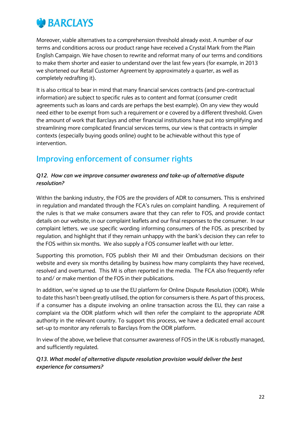

Moreover, viable alternatives to a comprehension threshold already exist. A number of our terms and conditions across our product range have received a Crystal Mark from the Plain English Campaign. We have chosen to rewrite and reformat many of our terms and conditions to make them shorter and easier to understand over the last few years (for example, in 2013 we shortened our Retail Customer Agreement by approximately a quarter, as well as completely redrafting it).

It is also critical to bear in mind that many financial services contracts (and pre-contractual information) are subject to specific rules as to content and format (consumer credit agreements such as loans and cards are perhaps the best example). On any view they would need either to be exempt from such a requirement or e covered by a different threshold. Given the amount of work that Barclays and other financial institutions have put into simplifying and streamlining more complicated financial services terms, our view is that contracts in simpler contexts (especially buying goods online) ought to be achievable without this type of intervention.

## **Improving enforcement of consumer rights**

#### *Q12. How can we improve consumer awareness and take-up of alternative dispute resolution?*

Within the banking industry, the FOS are the providers of ADR to consumers. This is enshrined in regulation and mandated through the FCA's rules on complaint handling. A requirement of the rules is that we make consumers aware that they can refer to FOS, and provide contact details on our website, in our complaint leaflets and our final responses to the consumer. In our complaint letters, we use specific wording informing consumers of the FOS, as prescribed by regulation, and highlight that if they remain unhappy with the bank's decision they can refer to the FOS within six months. We also supply a FOS consumer leaflet with our letter.

Supporting this promotion, FOS publish their MI and their Ombudsman decisions on their website and every six months detailing by business how many complaints they have received, resolved and overturned. This MI is often reported in the media. The FCA also frequently refer to and/ or make mention of the FOS in their publications.

In addition, we're signed up to use the EU platform for Online Dispute Resolution (ODR). While to date this hasn't been greatly utilised, the option for consumers is there. As part of this process, if a consumer has a dispute involving an online transaction across the EU, they can raise a complaint via the ODR platform which will then refer the complaint to the appropriate ADR authority in the relevant country. To support this process, we have a dedicated email account set-up to monitor any referrals to Barclays from the ODR platform.

In view of the above, we believe that consumer awareness of FOS in the UK is robustly managed, and sufficiently regulated.

#### *Q13. What model of alternative dispute resolution provision would deliver the best experience for consumers?*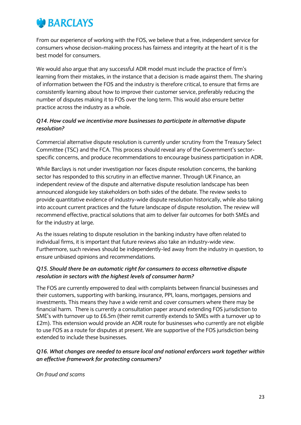

From our experience of working with the FOS, we believe that a free, independent service for consumers whose decision-making process has fairness and integrity at the heart of it is the best model for consumers.

We would also argue that any successful ADR model must include the practice of firm's learning from their mistakes, in the instance that a decision is made against them. The sharing of information between the FOS and the industry is therefore critical, to ensure that firms are consistently learning about how to improve their customer service, preferably reducing the number of disputes making it to FOS over the long term. This would also ensure better practice across the industry as a whole.

#### *Q14. How could we incentivise more businesses to participate in alternative dispute resolution?*

Commercial alternative dispute resolution is currently under scrutiny from the Treasury Select Committee (TSC) and the FCA. This process should reveal any of the Government's sectorspecific concerns, and produce recommendations to encourage business participation in ADR.

While Barclays is not under investigation nor faces dispute resolution concerns, the banking sector has responded to this scrutiny in an effective manner. Through UK Finance, an independent review of the dispute and alternative dispute resolution landscape has been announced alongside key stakeholders on both sides of the debate. The review seeks to provide quantitative evidence of industry-wide dispute resolution historically, while also taking into account current practices and the future landscape of dispute resolution. The review will recommend effective, practical solutions that aim to deliver fair outcomes for both SMEs and for the industry at large.

As the issues relating to dispute resolution in the banking industry have often related to individual firms, it is important that future reviews also take an industry-wide view. Furthermore, such reviews should be independently-led away from the industry in question, to ensure unbiased opinions and recommendations.

#### *Q15. Should there be an automatic right for consumers to access alternative dispute resolution in sectors with the highest levels of consumer harm?*

The FOS are currently empowered to deal with complaints between financial businesses and their customers, supporting with banking, insurance, PPI, loans, mortgages, pensions and investments. This means they have a wide remit and cover consumers where there may be financial harm. There is currently a consultation paper around extending FOS jurisdiction to SME's with turnover up to £6.5m (their remit currently extends to SMEs with a turnover up to £2m). This extension would provide an ADR route for businesses who currently are not eligible to use FOS as a route for disputes at present. We are supportive of the FOS jurisdiction being extended to include these businesses.

#### *Q16. What changes are needed to ensure local and national enforcers work together within an effective framework for protecting consumers?*

*On fraud and scams*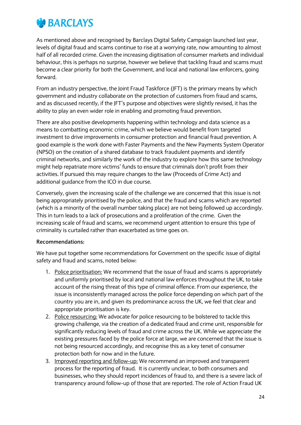

As mentioned above and recognised by Barclays Digital Safety Campaign launched last year, levels of digital fraud and scams continue to rise at a worrying rate, now amounting to almost half of all recorded crime. Given the increasing digitisation of consumer markets and individual behaviour, this is perhaps no surprise, however we believe that tackling fraud and scams must become a clear priority for both the Government, and local and national law enforcers, going forward.

From an industry perspective, the Joint Fraud Taskforce (JFT) is the primary means by which government and industry collaborate on the protection of customers from fraud and scams, and as discussed recently, if the JFT's purpose and objectives were slightly revised, it has the ability to play an even wider role in enabling and promoting fraud prevention.

There are also positive developments happening within technology and data science as a means to combatting economic crime, which we believe would benefit from targeted investment to drive improvements in consumer protection and financial fraud prevention. A good example is the work done with Faster Payments and the New Payments System Operator (NPSO) on the creation of a shared database to track fraudulent payments and identify criminal networks, and similarly the work of the industry to explore how this same technology might help repatriate more victims' funds to ensure that criminals don't profit from their activities. If pursued this may require changes to the law (Proceeds of Crime Act) and additional guidance from the ICO in due course.

Conversely, given the increasing scale of the challenge we are concerned that this issue is not being appropriately prioritised by the police, and that the fraud and scams which are reported (which is a minority of the overall number taking place) are not being followed up accordingly. This in turn leads to a lack of prosecutions and a proliferation of the crime. Given the increasing scale of fraud and scams, we recommend urgent attention to ensure this type of criminality is curtailed rather than exacerbated as time goes on.

#### **Recommendations:**

We have put together some recommendations for Government on the specific issue of digital safety and fraud and scams, noted below:

- 1. Police prioritisation: We recommend that the issue of fraud and scams is appropriately and uniformly prioritised by local and national law enforces throughout the UK, to take account of the rising threat of this type of criminal offence. From our experience, the issue is inconsistently managed across the police force depending on which part of the country you are in, and given its predominance across the UK, we feel that clear and appropriate prioritisation is key.
- 2. Police resourcing: We advocate for police resourcing to be bolstered to tackle this growing challenge, via the creation of a dedicated fraud and crime unit, responsible for significantly reducing levels of fraud and crime across the UK. While we appreciate the existing pressures faced by the police force at large, we are concerned that the issue is not being resourced accordingly, and recognise this as a key tenet of consumer protection both for now and in the future.
- 3. Improved reporting and follow-up: We recommend an improved and transparent process for the reporting of fraud. It is currently unclear, to both consumers and businesses, who they should report incidences of fraud to, and there is a severe lack of transparency around follow-up of those that are reported. The role of Action Fraud UK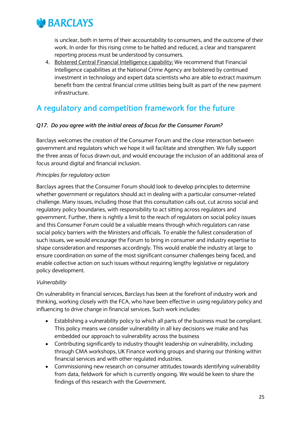

is unclear, both in terms of their accountability to consumers, and the outcome of their work. In order for this rising crime to be halted and reduced, a clear and transparent reporting process must be understood by consumers.

4. Bolstered Central Financial Intelligence capability: We recommend that Financial Intelligence capabilities at the National Crime Agency are bolstered by continued investment in technology and expert data scientists who are able to extract maximum benefit from the central financial crime utilities being built as part of the new payment infrastructure.

## **A regulatory and competition framework for the future**

#### *Q17. Do you agree with the initial areas of focus for the Consumer Forum?*

Barclays welcomes the creation of the Consumer Forum and the close interaction between government and regulators which we hope it will facilitate and strengthen. We fully support the three areas of focus drawn out, and would encourage the inclusion of an additional area of focus around digital and financial inclusion.

#### *Principles for regulatory action*

Barclays agrees that the Consumer Forum should look to develop principles to determine whether government or regulators should act in dealing with a particular consumer-related challenge. Many issues, including those that this consultation calls out, cut across social and regulatory policy boundaries, with responsibility to act sitting across regulators and government. Further, there is rightly a limit to the reach of regulators on social policy issues and this Consumer Forum could be a valuable means through which regulators can raise social policy barriers with the Ministers and officials. To enable the fullest consideration of such issues, we would encourage the Forum to bring in consumer and industry expertise to shape consideration and responses accordingly. This would enable the industry at large to ensure coordination on some of the most significant consumer challenges being faced, and enable collective action on such issues without requiring lengthy legislative or regulatory policy development.

#### *Vulnerability*

On vulnerability in financial services, Barclays has been at the forefront of industry work and thinking, working closely with the FCA, who have been effective in using regulatory policy and influencing to drive change in financial services. Such work includes:

- Establishing a vulnerability policy to which all parts of the business must be compliant. This policy means we consider vulnerability in all key decisions we make and has embedded our approach to vulnerability across the business
- Contributing significantly to industry thought leadership on vulnerability, including through CMA workshops, UK Finance working groups and sharing our thinking within financial services and with other regulated industries.
- Commissioning new research on consumer attitudes towards identifying vulnerability from data, fieldwork for which is currently ongoing. We would be keen to share the findings of this research with the Government.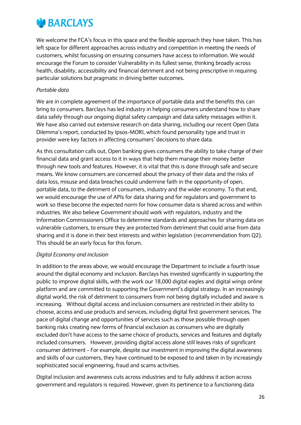

We welcome the FCA's focus in this space and the flexible approach they have taken. This has left space for different approaches across industry and competition in meeting the needs of customers, whilst focussing on ensuring consumers have access to information. We would encourage the Forum to consider Vulnerability in its fullest sense, thinking broadly across health, disability, accessibility and financial detriment and not being prescriptive in requiring particular solutions but pragmatic in driving better outcomes.

#### *Portable data*

We are in complete agreement of the importance of portable data and the benefits this can bring to consumers. Barclays has led industry in helping consumers understand how to share data safely through our ongoing digital safety campaign and data safety messages within it. We have also carried out extensive research on data sharing, including our recent Open Data Dilemma's report, conducted by Ipsos-MORI, which found personality type and trust in provider were key factors in affecting consumers' decisions to share data.

As this consultation calls out, Open banking gives consumers the ability to take charge of their financial data and grant access to it in ways that help them manage their money better through new tools and features. However, it is vital that this is done through safe and secure means. We know consumers are concerned about the privacy of their data and the risks of data loss, misuse and data breaches could undermine faith in the opportunity of open, portable data, to the detriment of consumers, industry and the wider economy. To that end, we would encourage the use of APIs for data sharing and for regulators and government to work so these become the expected norm for how consumer data is shared across and within industries. We also believe Government should work with regulators, industry and the Information Commissioners Office to determine standards and approaches for sharing data on vulnerable customers, to ensure they are protected from detriment that could arise from data sharing and it is done in their best interests and within legislation (recommendation from Q2). This should be an early focus for this forum.

#### *Digital Economy and inclusion*

In addition to the areas above, we would encourage the Department to include a fourth issue around the digital economy and inclusion. Barclays has invested significantly in supporting the public to improve digital skills, with the work our 18,000 digital eagles and digital wings online platform and are committed to supporting the Government's digital strategy. In an increasingly digital world, the risk of detriment to consumers from not being digitally included and aware is increasing. Without digital access and inclusion consumers are restricted in their ability to choose, access and use products and services, including digital first government services. The pace of digital change and opportunities of services such as those possible through open banking risks creating new forms of financial exclusion as consumers who are digitally excluded don't have access to the same choice of products, services and features and digitally included consumers. However, providing digital access alone still leaves risks of significant consumer detriment - For example, despite our investment in improving the digital awareness and skills of our customers, they have continued to be exposed to and taken in by increasingly sophisticated social engineering, fraud and scams activities.

Digital inclusion and awareness cuts across industries and to fully address it action across government and regulators is required. However, given its pertinence to a functioning data